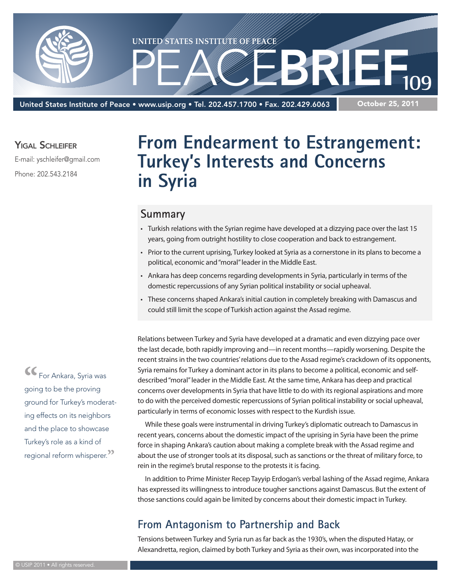

United States Institute of Peace • www.usip.org • Tel. 202.457.1700 • Fax. 202.429.6063

October 25, 2011

YIGAL SCHLEIFER

E-mail: yschleifer@gmail.com

Phone: 202.543.2184

# **From Endearment to Estrangement: Turkey's Interests and Concerns in Syria**

#### **Summary**

- • Turkish relations with the Syrian regime have developed at a dizzying pace over the last 15 years, going from outright hostility to close cooperation and back to estrangement.
- • Prior to the current uprising, Turkey looked at Syria as a cornerstone in its plans to become a political, economic and "moral" leader in the Middle East.
- Ankara has deep concerns regarding developments in Syria, particularly in terms of the domestic repercussions of any Syrian political instability or social upheaval.
- These concerns shaped Ankara's initial caution in completely breaking with Damascus and could still limit the scope of Turkish action against the Assad regime.

Relations between Turkey and Syria have developed at a dramatic and even dizzying pace over the last decade, both rapidly improving and—in recent months—rapidly worsening. Despite the recent strains in the two countries' relations due to the Assad regime's crackdown of its opponents, Syria remains for Turkey a dominant actor in its plans to become a political, economic and selfdescribed "moral" leader in the Middle East. At the same time, Ankara has deep and practical concerns over developments in Syria that have little to do with its regional aspirations and more to do with the perceived domestic repercussions of Syrian political instability or social upheaval, particularly in terms of economic losses with respect to the Kurdish issue.

While these goals were instrumental in driving Turkey's diplomatic outreach to Damascus in recent years, concerns about the domestic impact of the uprising in Syria have been the prime force in shaping Ankara's caution about making a complete break with the Assad regime and about the use of stronger tools at its disposal, such as sanctions or the threat of military force, to rein in the regime's brutal response to the protests it is facing.

In addition to Prime Minister Recep Tayyip Erdogan's verbal lashing of the Assad regime, Ankara has expressed its willingness to introduce tougher sanctions against Damascus. But the extent of those sanctions could again be limited by concerns about their domestic impact in Turkey.

## **From Antagonism to Partnership and Back**

Tensions between Turkey and Syria run as far back as the 1930's, when the disputed Hatay, or Alexandretta, region, claimed by both Turkey and Syria as their own, was incorporated into the

**"**For Ankara, Syria was going to be the proving ground for Turkey's moderating effects on its neighbors and the place to showcase Turkey's role as a kind of regional reform whisperer.**"**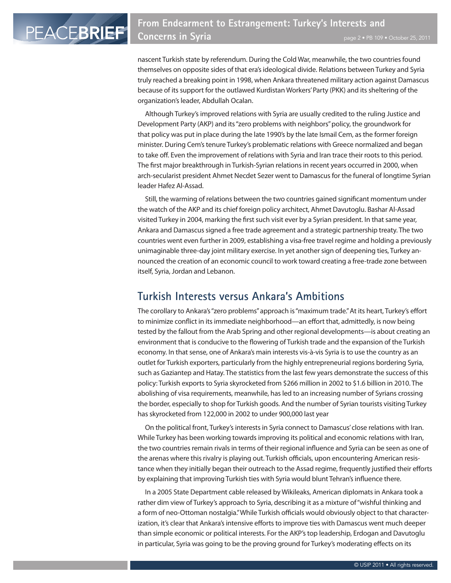nascent Turkish state by referendum. During the Cold War, meanwhile, the two countries found themselves on opposite sides of that era's ideological divide. Relations between Turkey and Syria truly reached a breaking point in 1998, when Ankara threatened military action against Damascus because of its support for the outlawed Kurdistan Workers' Party (PKK) and its sheltering of the organization's leader, Abdullah Ocalan.

Although Turkey's improved relations with Syria are usually credited to the ruling Justice and Development Party (AKP) and its "zero problems with neighbors" policy, the groundwork for that policy was put in place during the late 1990's by the late Ismail Cem, as the former foreign minister. During Cem's tenure Turkey's problematic relations with Greece normalized and began to take off. Even the improvement of relations with Syria and Iran trace their roots to this period. The first major breakthrough in Turkish-Syrian relations in recent years occurred in 2000, when arch-secularist president Ahmet Necdet Sezer went to Damascus for the funeral of longtime Syrian leader Hafez Al-Assad.

Still, the warming of relations between the two countries gained significant momentum under the watch of the AKP and its chief foreign policy architect, Ahmet Davutoglu. Bashar Al-Assad visited Turkey in 2004, marking the first such visit ever by a Syrian president. In that same year, Ankara and Damascus signed a free trade agreement and a strategic partnership treaty. The two countries went even further in 2009, establishing a visa-free travel regime and holding a previously unimaginable three-day joint military exercise. In yet another sign of deepening ties, Turkey announced the creation of an economic council to work toward creating a free-trade zone between itself, Syria, Jordan and Lebanon.

#### **Turkish Interests versus Ankara's Ambitions**

The corollary to Ankara's "zero problems" approach is "maximum trade." At its heart, Turkey's effort to minimize conflict in its immediate neighborhood—an effort that, admittedly, is now being tested by the fallout from the Arab Spring and other regional developments—is about creating an environment that is conducive to the flowering of Turkish trade and the expansion of the Turkish economy. In that sense, one of Ankara's main interests vis-à-vis Syria is to use the country as an outlet for Turkish exporters, particularly from the highly entrepreneurial regions bordering Syria, such as Gaziantep and Hatay. The statistics from the last few years demonstrate the success of this policy: Turkish exports to Syria skyrocketed from \$266 million in 2002 to \$1.6 billion in 2010. The abolishing of visa requirements, meanwhile, has led to an increasing number of Syrians crossing the border, especially to shop for Turkish goods. And the number of Syrian tourists visiting Turkey has skyrocketed from 122,000 in 2002 to under 900,000 last year

On the political front, Turkey's interests in Syria connect to Damascus' close relations with Iran. While Turkey has been working towards improving its political and economic relations with Iran, the two countries remain rivals in terms of their regional influence and Syria can be seen as one of the arenas where this rivalry is playing out. Turkish officials, upon encountering American resistance when they initially began their outreach to the Assad regime, frequently justified their efforts by explaining that improving Turkish ties with Syria would blunt Tehran's influence there.

In a 2005 State Department cable released by Wikileaks, American diplomats in Ankara took a rather dim view of Turkey's approach to Syria, describing it as a mixture of "wishful thinking and a form of neo-Ottoman nostalgia." While Turkish officials would obviously object to that characterization, it's clear that Ankara's intensive efforts to improve ties with Damascus went much deeper than simple economic or political interests. For the AKP's top leadership, Erdogan and Davutoglu in particular, Syria was going to be the proving ground for Turkey's moderating effects on its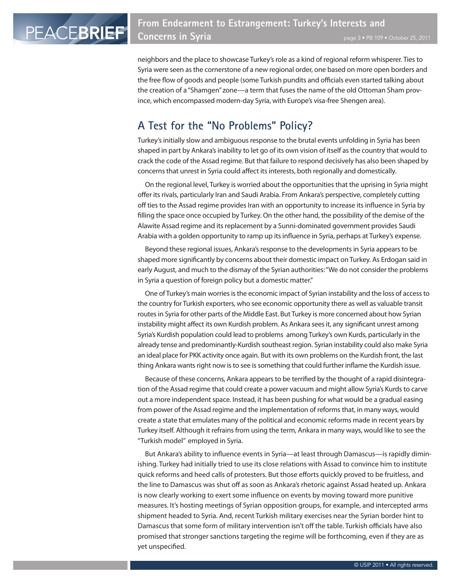neighbors and the place to showcase Turkey's role as a kind of regional reform whisperer. Ties to Syria were seen as the cornerstone of a new regional order, one based on more open borders and the free flow of goods and people (some Turkish pundits and officials even started talking about the creation of a "Shamgen" zone—a term that fuses the name of the old Ottoman Sham province, which encompassed modern-day Syria, with Europe's visa-free Shengen area).

# **A Test for the "No Problems" Policy?**

Turkey's initially slow and ambiguous response to the brutal events unfolding in Syria has been shaped in part by Ankara's inability to let go of its own vision of itself as the country that would to crack the code of the Assad regime. But that failure to respond decisively has also been shaped by concerns that unrest in Syria could affect its interests, both regionally and domestically.

On the regional level, Turkey is worried about the opportunities that the uprising in Syria might offer its rivals, particularly Iran and Saudi Arabia. From Ankara's perspective, completely cutting off ties to the Assad regime provides Iran with an opportunity to increase its influence in Syria by filling the space once occupied by Turkey. On the other hand, the possibility of the demise of the Alawite Assad regime and its replacement by a Sunni-dominated government provides Saudi Arabia with a golden opportunity to ramp up its influence in Syria, perhaps at Turkey's expense.

Beyond these regional issues, Ankara's response to the developments in Syria appears to be shaped more significantly by concerns about their domestic impact on Turkey. As Erdogan said in early August, and much to the dismay of the Syrian authorities: "We do not consider the problems in Syria a question of foreign policy but a domestic matter."

One of Turkey's main worries is the economic impact of Syrian instability and the loss of access to the country for Turkish exporters, who see economic opportunity there as well as valuable transit routes in Syria for other parts of the Middle East. But Turkey is more concerned about how Syrian instability might affect its own Kurdish problem. As Ankara sees it, any significant unrest among Syria's Kurdish population could lead to problems among Turkey's own Kurds, particularly in the already tense and predominantly-Kurdish southeast region. Syrian instability could also make Syria an ideal place for PKK activity once again. But with its own problems on the Kurdish front, the last thing Ankara wants right now is to see is something that could further inflame the Kurdish issue.

Because of these concerns, Ankara appears to be terrified by the thought of a rapid disintegration of the Assad regime that could create a power vacuum and might allow Syria's Kurds to carve out a more independent space. Instead, it has been pushing for what would be a gradual easing from power of the Assad regime and the implementation of reforms that, in many ways, would create a state that emulates many of the political and economic reforms made in recent years by Turkey itself. Although it refrains from using the term, Ankara in many ways, would like to see the "Turkish model" employed in Syria.

But Ankara's ability to influence events in Syria—at least through Damascus—is rapidly diminishing. Turkey had initially tried to use its close relations with Assad to convince him to institute quick reforms and heed calls of protesters. But those efforts quickly proved to be fruitless, and the line to Damascus was shut off as soon as Ankara's rhetoric against Assad heated up. Ankara is now clearly working to exert some influence on events by moving toward more punitive measures. It's hosting meetings of Syrian opposition groups, for example, and intercepted arms shipment headed to Syria. And, recent Turkish military exercises near the Syrian border hint to Damascus that some form of military intervention isn't off the table. Turkish officials have also promised that stronger sanctions targeting the regime will be forthcoming, even if they are as yet unspecified.